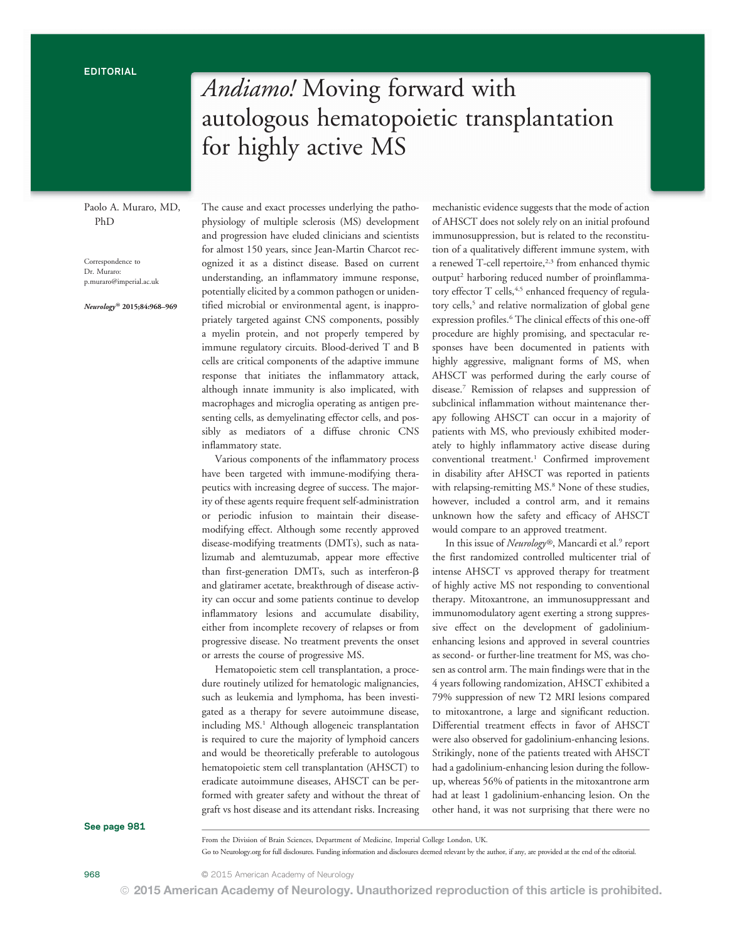Paolo A. Muraro, MD, PhD

Correspondence to Dr. Muraro: [p.muraro@imperial.ac.uk](mailto:p.muraro@imperial.ac.uk)

Neurology® 2015;84:968–<sup>969</sup>

The cause and exact processes underlying the pathophysiology of multiple sclerosis (MS) development and progression have eluded clinicians and scientists for almost 150 years, since Jean-Martin Charcot recognized it as a distinct disease. Based on current understanding, an inflammatory immune response, potentially elicited by a common pathogen or unidentified microbial or environmental agent, is inappropriately targeted against CNS components, possibly a myelin protein, and not properly tempered by immune regulatory circuits. Blood-derived T and B cells are critical components of the adaptive immune response that initiates the inflammatory attack, although innate immunity is also implicated, with macrophages and microglia operating as antigen presenting cells, as demyelinating effector cells, and possibly as mediators of a diffuse chronic CNS inflammatory state.

for highly active MS

Andiamo! Moving forward with

autologous hematopoietic transplantation

Various components of the inflammatory process have been targeted with immune-modifying therapeutics with increasing degree of success. The majority of these agents require frequent self-administration or periodic infusion to maintain their diseasemodifying effect. Although some recently approved disease-modifying treatments (DMTs), such as natalizumab and alemtuzumab, appear more effective than first-generation DMTs, such as interferon- $\beta$ and glatiramer acetate, breakthrough of disease activity can occur and some patients continue to develop inflammatory lesions and accumulate disability, either from incomplete recovery of relapses or from progressive disease. No treatment prevents the onset or arrests the course of progressive MS.

Hematopoietic stem cell transplantation, a procedure routinely utilized for hematologic malignancies, such as leukemia and lymphoma, has been investigated as a therapy for severe autoimmune disease, including MS.<sup>1</sup> Although allogeneic transplantation is required to cure the majority of lymphoid cancers and would be theoretically preferable to autologous hematopoietic stem cell transplantation (AHSCT) to eradicate autoimmune diseases, AHSCT can be performed with greater safety and without the threat of graft vs host disease and its attendant risks. Increasing

mechanistic evidence suggests that the mode of action of AHSCT does not solely rely on an initial profound immunosuppression, but is related to the reconstitution of a qualitatively different immune system, with a renewed T-cell repertoire, $2,3$  from enhanced thymic output2 harboring reduced number of proinflammatory effector T cells,<sup>4,5</sup> enhanced frequency of regulatory cells,<sup>5</sup> and relative normalization of global gene expression profiles.<sup>6</sup> The clinical effects of this one-off procedure are highly promising, and spectacular responses have been documented in patients with highly aggressive, malignant forms of MS, when AHSCT was performed during the early course of disease.7 Remission of relapses and suppression of subclinical inflammation without maintenance therapy following AHSCT can occur in a majority of patients with MS, who previously exhibited moderately to highly inflammatory active disease during conventional treatment.<sup>1</sup> Confirmed improvement in disability after AHSCT was reported in patients with relapsing-remitting MS.<sup>8</sup> None of these studies, however, included a control arm, and it remains unknown how the safety and efficacy of AHSCT would compare to an approved treatment.

In this issue of Neurology®, Mancardi et al.<sup>9</sup> report the first randomized controlled multicenter trial of intense AHSCT vs approved therapy for treatment of highly active MS not responding to conventional therapy. Mitoxantrone, an immunosuppressant and immunomodulatory agent exerting a strong suppressive effect on the development of gadoliniumenhancing lesions and approved in several countries as second- or further-line treatment for MS, was chosen as control arm. The main findings were that in the 4 years following randomization, AHSCT exhibited a 79% suppression of new T2 MRI lesions compared to mitoxantrone, a large and significant reduction. Differential treatment effects in favor of AHSCT were also observed for gadolinium-enhancing lesions. Strikingly, none of the patients treated with AHSCT had a gadolinium-enhancing lesion during the followup, whereas 56% of patients in the mitoxantrone arm had at least 1 gadolinium-enhancing lesion. On the other hand, it was not surprising that there were no

See page 981

Go to [Neurology.org](http://neurology.org/) for full disclosures. Funding information and disclosures deemed relevant by the author, if any, are provided at the end of the editorial.

968 **CENETA COMMON STARF OF 2015** American Academy of Neurology

© 2015 American Academy of Neurology. Unauthorized reproduction of this article is prohibited.

From the Division of Brain Sciences, Department of Medicine, Imperial College London, UK.